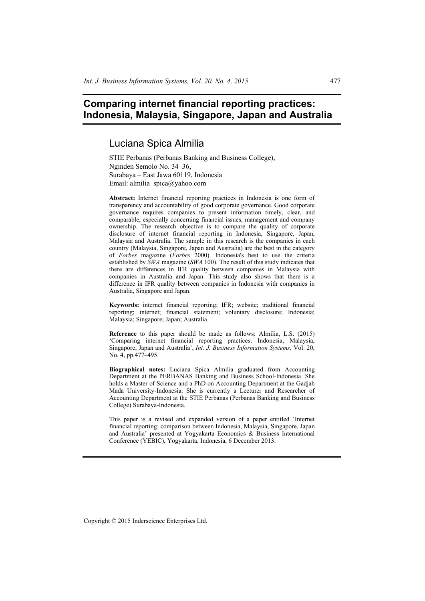# **Comparing internet financial reporting practices: Indonesia, Malaysia, Singapore, Japan and Australia**

## Luciana Spica Almilia

STIE Perbanas (Perbanas Banking and Business College), Nginden Semolo No. 34–36, Surabaya – East Jawa 60119, Indonesia Email: almilia\_spica@yahoo.com

**Abstract:** Internet financial reporting practices in Indonesia is one form of transparency and accountability of good corporate governance. Good corporate governance requires companies to present information timely, clear, and comparable, especially concerning financial issues, management and company ownership. The research objective is to compare the quality of corporate disclosure of internet financial reporting in Indonesia, Singapore, Japan, Malaysia and Australia. The sample in this research is the companies in each country (Malaysia, Singapore, Japan and Australia) are the best in the category of *Forbes* magazine (*Forbes* 2000). Indonesia's best to use the criteria established by *SWA* magazine (*SWA* 100). The result of this study indicates that there are differences in IFR quality between companies in Malaysia with companies in Australia and Japan. This study also shows that there is a difference in IFR quality between companies in Indonesia with companies in Australia, Singapore and Japan.

**Keywords:** internet financial reporting; IFR; website; traditional financial reporting; internet; financial statement; voluntary disclosure; Indonesia; Malaysia; Singapore; Japan; Australia.

**Reference** to this paper should be made as follows: Almilia, L.S. (2015) 'Comparing internet financial reporting practices: Indonesia, Malaysia, Singapore, Japan and Australia', *Int. J. Business Information Systems*, Vol. 20, No. 4, pp.477–495.

**Biographical notes:** Luciana Spica Almilia graduated from Accounting Department at the PERBANAS Banking and Business School-Indonesia. She holds a Master of Science and a PhD on Accounting Department at the Gadjah Mada University-Indonesia. She is currently a Lecturer and Researcher of Accounting Department at the STIE Perbanas (Perbanas Banking and Business College) Surabaya-Indonesia.

This paper is a revised and expanded version of a paper entitled 'Internet financial reporting: comparison between Indonesia, Malaysia, Singapore, Japan and Australia' presented at Yogyakarta Economics & Business International Conference (YEBIC), Yogyakarta, Indonesia, 6 December 2013.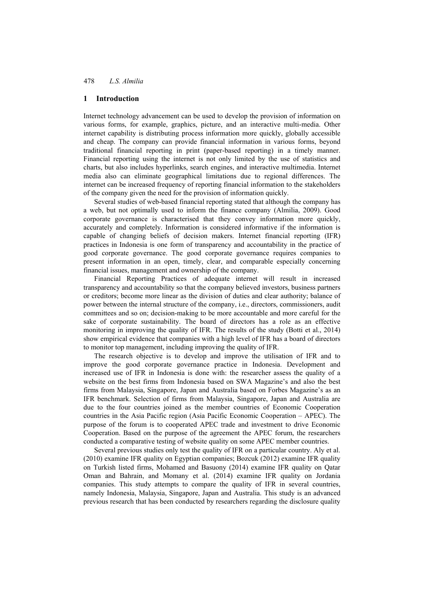## **1 Introduction**

Internet technology advancement can be used to develop the provision of information on various forms, for example, graphics, picture, and an interactive multi-media. Other internet capability is distributing process information more quickly, globally accessible and cheap. The company can provide financial information in various forms, beyond traditional financial reporting in print (paper-based reporting) in a timely manner. Financial reporting using the internet is not only limited by the use of statistics and charts, but also includes hyperlinks, search engines, and interactive multimedia. Internet media also can eliminate geographical limitations due to regional differences. The internet can be increased frequency of reporting financial information to the stakeholders of the company given the need for the provision of information quickly.

Several studies of web-based financial reporting stated that although the company has a web, but not optimally used to inform the finance company (Almilia, 2009). Good corporate governance is characterised that they convey information more quickly, accurately and completely. Information is considered informative if the information is capable of changing beliefs of decision makers. Internet financial reporting (IFR) practices in Indonesia is one form of transparency and accountability in the practice of good corporate governance. The good corporate governance requires companies to present information in an open, timely, clear, and comparable especially concerning financial issues, management and ownership of the company.

Financial Reporting Practices of adequate internet will result in increased transparency and accountability so that the company believed investors, business partners or creditors; become more linear as the division of duties and clear authority; balance of power between the internal structure of the company, i.e., directors, commissioners, audit committees and so on; decision-making to be more accountable and more careful for the sake of corporate sustainability. The board of directors has a role as an effective monitoring in improving the quality of IFR. The results of the study (Botti et al., 2014) show empirical evidence that companies with a high level of IFR has a board of directors to monitor top management, including improving the quality of IFR.

The research objective is to develop and improve the utilisation of IFR and to improve the good corporate governance practice in Indonesia. Development and increased use of IFR in Indonesia is done with: the researcher assess the quality of a website on the best firms from Indonesia based on SWA Magazine's and also the best firms from Malaysia, Singapore, Japan and Australia based on Forbes Magazine's as an IFR benchmark. Selection of firms from Malaysia, Singapore, Japan and Australia are due to the four countries joined as the member countries of Economic Cooperation countries in the Asia Pacific region (Asia Pacific Economic Cooperation – APEC). The purpose of the forum is to cooperated APEC trade and investment to drive Economic Cooperation. Based on the purpose of the agreement the APEC forum, the researchers conducted a comparative testing of website quality on some APEC member countries.

Several previous studies only test the quality of IFR on a particular country. Aly et al. (2010) examine IFR quality on Egyptian companies; Bozcuk (2012) examine IFR quality on Turkish listed firms, Mohamed and Basuony (2014) examine IFR quality on Qatar Oman and Bahrain, and Momany et al. (2014) examine IFR quality on Jordania companies. This study attempts to compare the quality of IFR in several countries, namely Indonesia, Malaysia, Singapore, Japan and Australia. This study is an advanced previous research that has been conducted by researchers regarding the disclosure quality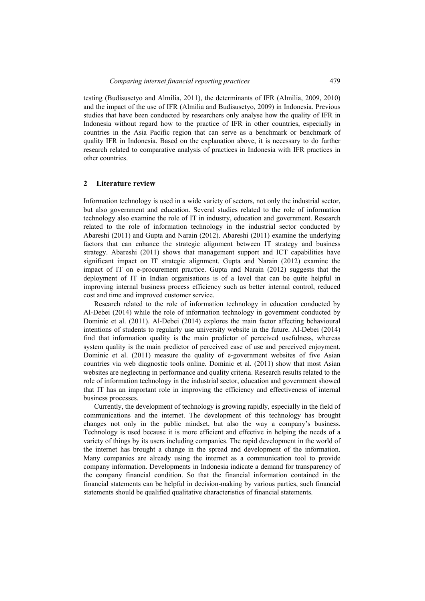testing (Budisusetyo and Almilia, 2011), the determinants of IFR (Almilia, 2009, 2010) and the impact of the use of IFR (Almilia and Budisusetyo, 2009) in Indonesia. Previous studies that have been conducted by researchers only analyse how the quality of IFR in Indonesia without regard how to the practice of IFR in other countries, especially in countries in the Asia Pacific region that can serve as a benchmark or benchmark of quality IFR in Indonesia. Based on the explanation above, it is necessary to do further research related to comparative analysis of practices in Indonesia with IFR practices in other countries.

## **2 Literature review**

Information technology is used in a wide variety of sectors, not only the industrial sector, but also government and education. Several studies related to the role of information technology also examine the role of IT in industry, education and government. Research related to the role of information technology in the industrial sector conducted by Abareshi (2011) and Gupta and Narain (2012). Abareshi (2011) examine the underlying factors that can enhance the strategic alignment between IT strategy and business strategy. Abareshi (2011) shows that management support and ICT capabilities have significant impact on IT strategic alignment. Gupta and Narain (2012) examine the impact of IT on e-procurement practice. Gupta and Narain (2012) suggests that the deployment of IT in Indian organisations is of a level that can be quite helpful in improving internal business process efficiency such as better internal control, reduced cost and time and improved customer service.

Research related to the role of information technology in education conducted by Al-Debei (2014) while the role of information technology in government conducted by Dominic et al. (2011). Al-Debei (2014) explores the main factor affecting behavioural intentions of students to regularly use university website in the future. Al-Debei (2014) find that information quality is the main predictor of perceived usefulness, whereas system quality is the main predictor of perceived ease of use and perceived enjoyment. Dominic et al. (2011) measure the quality of e-government websites of five Asian countries via web diagnostic tools online. Dominic et al. (2011) show that most Asian websites are neglecting in performance and quality criteria. Research results related to the role of information technology in the industrial sector, education and government showed that IT has an important role in improving the efficiency and effectiveness of internal business processes.

Currently, the development of technology is growing rapidly, especially in the field of communications and the internet. The development of this technology has brought changes not only in the public mindset, but also the way a company's business. Technology is used because it is more efficient and effective in helping the needs of a variety of things by its users including companies. The rapid development in the world of the internet has brought a change in the spread and development of the information. Many companies are already using the internet as a communication tool to provide company information. Developments in Indonesia indicate a demand for transparency of the company financial condition. So that the financial information contained in the financial statements can be helpful in decision-making by various parties, such financial statements should be qualified qualitative characteristics of financial statements.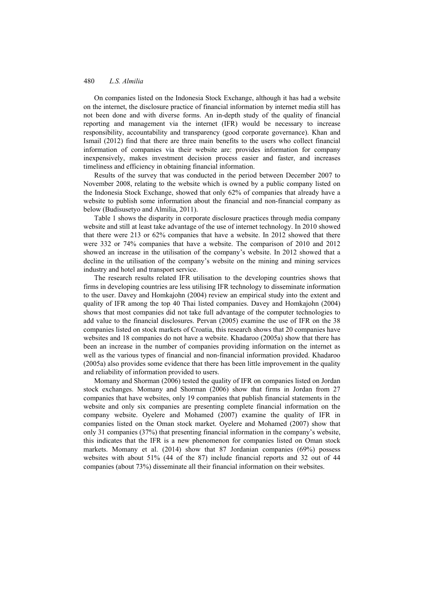On companies listed on the Indonesia Stock Exchange, although it has had a website on the internet, the disclosure practice of financial information by internet media still has not been done and with diverse forms. An in-depth study of the quality of financial reporting and management via the internet (IFR) would be necessary to increase responsibility, accountability and transparency (good corporate governance). Khan and Ismail (2012) find that there are three main benefits to the users who collect financial information of companies via their website are: provides information for company inexpensively, makes investment decision process easier and faster, and increases timeliness and efficiency in obtaining financial information.

Results of the survey that was conducted in the period between December 2007 to November 2008, relating to the website which is owned by a public company listed on the Indonesia Stock Exchange, showed that only 62% of companies that already have a website to publish some information about the financial and non-financial company as below (Budisusetyo and Almilia, 2011).

Table 1 shows the disparity in corporate disclosure practices through media company website and still at least take advantage of the use of internet technology. In 2010 showed that there were 213 or 62% companies that have a website. In 2012 showed that there were 332 or 74% companies that have a website. The comparison of 2010 and 2012 showed an increase in the utilisation of the company's website. In 2012 showed that a decline in the utilisation of the company's website on the mining and mining services industry and hotel and transport service.

The research results related IFR utilisation to the developing countries shows that firms in developing countries are less utilising IFR technology to disseminate information to the user. Davey and Homkajohn (2004) review an empirical study into the extent and quality of IFR among the top 40 Thai listed companies. Davey and Homkajohn (2004) shows that most companies did not take full advantage of the computer technologies to add value to the financial disclosures. Pervan (2005) examine the use of IFR on the 38 companies listed on stock markets of Croatia, this research shows that 20 companies have websites and 18 companies do not have a website. Khadaroo (2005a) show that there has been an increase in the number of companies providing information on the internet as well as the various types of financial and non-financial information provided. Khadaroo (2005a) also provides some evidence that there has been little improvement in the quality and reliability of information provided to users.

Momany and Shorman (2006) tested the quality of IFR on companies listed on Jordan stock exchanges. Momany and Shorman (2006) show that firms in Jordan from 27 companies that have websites, only 19 companies that publish financial statements in the website and only six companies are presenting complete financial information on the company website. Oyelere and Mohamed (2007) examine the quality of IFR in companies listed on the Oman stock market. Oyelere and Mohamed (2007) show that only 31 companies (37%) that presenting financial information in the company's website, this indicates that the IFR is a new phenomenon for companies listed on Oman stock markets. Momany et al. (2014) show that 87 Jordanian companies (69%) possess websites with about 51% (44 of the 87) include financial reports and 32 out of 44 companies (about 73%) disseminate all their financial information on their websites.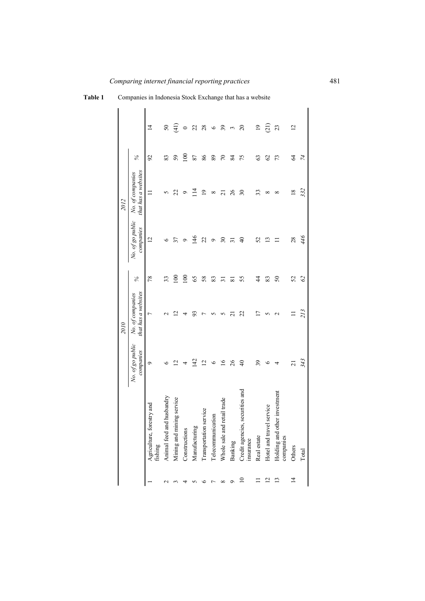|                 |                                              |                               | 2010                                    |                         |                               | 2012                                    |                |                              |
|-----------------|----------------------------------------------|-------------------------------|-----------------------------------------|-------------------------|-------------------------------|-----------------------------------------|----------------|------------------------------|
|                 |                                              | No. of go public<br>companies | that has a websites<br>No. of companies | $\%$                    | No. of go public<br>companies | that has a websites<br>No. of companies | $\%$           |                              |
|                 | Agriculture, forestry and<br>fishing         | ᡋ                             | 冖                                       | 78                      | $\overline{c}$                |                                         | 92             | $\overline{4}$               |
|                 | nd husbandry<br>Animal feed ar               | ७                             | $\mathrel{\sim}$                        | 33                      | ७                             | 5                                       | 83             | $50\,$                       |
|                 | Mining and mining service                    |                               | $\mathrel{\supseteq}$                   | $\overline{5}$          | 37                            | 22                                      | 59             | $\widehat{\mathfrak{t}}$     |
|                 | Constructions                                |                               | 4                                       | $\overline{8}$          | ᢀ                             | ᡋ                                       | $\approx$      | $\circ$                      |
|                 | Manufacturing                                | $\frac{42}{3}$                | 5                                       | 65                      | $\frac{46}{5}$                | $\vec{a}$                               | 87             | 22                           |
|                 | service<br>Transportation                    | $\bar{\omega}$                |                                         | 58                      | 22                            | $\overline{1}$                          | 86             | 28                           |
|                 | Telecommunication                            | $\circ$                       |                                         | 83                      | Ó                             | $^{\circ}$                              | 89             | $\circ$                      |
| $^{\circ}$      | Whole sale and retail trade                  | $\overline{16}$               |                                         | ಸ                       | $\overline{\mathbf{30}}$      | $\overline{c}$                          | $\sqrt{2}$     | 39                           |
| ᡋ               | <b>Banking</b>                               | 26                            | $\overline{z}$                          | $\overline{\mathbf{s}}$ | $\overline{31}$               | $\frac{26}{5}$                          | 84             | 3                            |
| $\Xi$           | Credit agencies, securities and<br>insurance | $\overline{4}$                | 22                                      | 55                      | $\Theta$                      | $30\,$                                  | 75             | $\Omega$                     |
|                 | Real estate                                  | 39                            | $\overline{17}$                         | $\frac{4}{4}$           | 52                            | 33                                      | 63             | $\overline{0}$               |
| $\overline{c}$  | Hotel and travel service                     | ७                             |                                         | 83                      | $\mathbf{r}$                  | $\infty$                                | $\mathcal{O}$  | $\left( \frac{1}{2} \right)$ |
| $\overline{13}$ | Holding and other investment<br>companies    |                               | 2                                       | $\mathcal{S}$           |                               | ∞                                       | 73             | 23                           |
| $\overline{1}$  | Others                                       | ಸ                             |                                         | 52                      | 28                            | 18                                      | 2              | $\overline{c}$               |
|                 | Total                                        | 343                           | 213                                     | $\mathcal{O}$           | 446                           | 332                                     | $\overline{7}$ |                              |

**Table 1** Companies in Indonesia Stock Exchange that has a website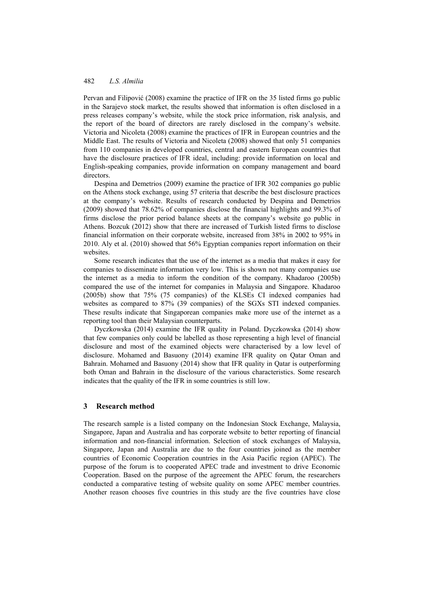Pervan and Filipović (2008) examine the practice of IFR on the 35 listed firms go public in the Sarajevo stock market, the results showed that information is often disclosed in a press releases company's website, while the stock price information, risk analysis, and the report of the board of directors are rarely disclosed in the company's website. Victoria and Nicoleta (2008) examine the practices of IFR in European countries and the Middle East. The results of Victoria and Nicoleta (2008) showed that only 51 companies from 110 companies in developed countries, central and eastern European countries that have the disclosure practices of IFR ideal, including: provide information on local and English-speaking companies, provide information on company management and board directors.

Despina and Demetrios (2009) examine the practice of IFR 302 companies go public on the Athens stock exchange, using 57 criteria that describe the best disclosure practices at the company's website. Results of research conducted by Despina and Demetrios (2009) showed that 78.62% of companies disclose the financial highlights and 99.3% of firms disclose the prior period balance sheets at the company's website go public in Athens. Bozcuk (2012) show that there are increased of Turkish listed firms to disclose financial information on their corporate website, increased from 38% in 2002 to 95% in 2010. Aly et al. (2010) showed that 56% Egyptian companies report information on their websites.

Some research indicates that the use of the internet as a media that makes it easy for companies to disseminate information very low. This is shown not many companies use the internet as a media to inform the condition of the company. Khadaroo (2005b) compared the use of the internet for companies in Malaysia and Singapore. Khadaroo (2005b) show that 75% (75 companies) of the KLSEs CI indexed companies had websites as compared to 87% (39 companies) of the SGXs STI indexed companies. These results indicate that Singaporean companies make more use of the internet as a reporting tool than their Malaysian counterparts.

Dyczkowska (2014) examine the IFR quality in Poland. Dyczkowska (2014) show that few companies only could be labelled as those representing a high level of financial disclosure and most of the examined objects were characterised by a low level of disclosure. Mohamed and Basuony (2014) examine IFR quality on Qatar Oman and Bahrain. Mohamed and Basuony (2014) show that IFR quality in Qatar is outperforming both Oman and Bahrain in the disclosure of the various characteristics. Some research indicates that the quality of the IFR in some countries is still low.

#### **3 Research method**

The research sample is a listed company on the Indonesian Stock Exchange, Malaysia, Singapore, Japan and Australia and has corporate website to better reporting of financial information and non-financial information. Selection of stock exchanges of Malaysia, Singapore, Japan and Australia are due to the four countries joined as the member countries of Economic Cooperation countries in the Asia Pacific region (APEC). The purpose of the forum is to cooperated APEC trade and investment to drive Economic Cooperation. Based on the purpose of the agreement the APEC forum, the researchers conducted a comparative testing of website quality on some APEC member countries. Another reason chooses five countries in this study are the five countries have close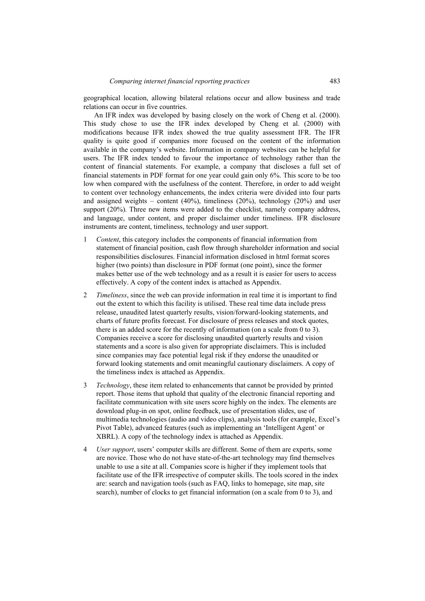geographical location, allowing bilateral relations occur and allow business and trade relations can occur in five countries.

An IFR index was developed by basing closely on the work of Cheng et al. (2000). This study chose to use the IFR index developed by Cheng et al. (2000) with modifications because IFR index showed the true quality assessment IFR. The IFR quality is quite good if companies more focused on the content of the information available in the company's website. Information in company websites can be helpful for users. The IFR index tended to favour the importance of technology rather than the content of financial statements. For example, a company that discloses a full set of financial statements in PDF format for one year could gain only 6%. This score to be too low when compared with the usefulness of the content. Therefore, in order to add weight to content over technology enhancements, the index criteria were divided into four parts and assigned weights – content  $(40\%)$ , timeliness  $(20\%)$ , technology  $(20\%)$  and user support (20%). Three new items were added to the checklist, namely company address, and language, under content, and proper disclaimer under timeliness. IFR disclosure instruments are content, timeliness, technology and user support.

- 1 *Content*, this category includes the components of financial information from statement of financial position, cash flow through shareholder information and social responsibilities disclosures. Financial information disclosed in html format scores higher (two points) than disclosure in PDF format (one point), since the former makes better use of the web technology and as a result it is easier for users to access effectively. A copy of the content index is attached as Appendix.
- 2 *Timeliness*, since the web can provide information in real time it is important to find out the extent to which this facility is utilised. These real time data include press release, unaudited latest quarterly results, vision/forward-looking statements, and charts of future profits forecast. For disclosure of press releases and stock quotes, there is an added score for the recently of information (on a scale from 0 to 3). Companies receive a score for disclosing unaudited quarterly results and vision statements and a score is also given for appropriate disclaimers. This is included since companies may face potential legal risk if they endorse the unaudited or forward looking statements and omit meaningful cautionary disclaimers. A copy of the timeliness index is attached as Appendix.
- 3 *Technology*, these item related to enhancements that cannot be provided by printed report. Those items that uphold that quality of the electronic financial reporting and facilitate communication with site users score highly on the index. The elements are download plug-in on spot, online feedback, use of presentation slides, use of multimedia technologies (audio and video clips), analysis tools (for example, Excel's Pivot Table), advanced features (such as implementing an 'Intelligent Agent' or XBRL). A copy of the technology index is attached as Appendix.
- 4 *User support*, users' computer skills are different. Some of them are experts, some are novice. Those who do not have state-of-the-art technology may find themselves unable to use a site at all. Companies score is higher if they implement tools that facilitate use of the IFR irrespective of computer skills. The tools scored in the index are: search and navigation tools (such as FAQ, links to homepage, site map, site search), number of clocks to get financial information (on a scale from 0 to 3), and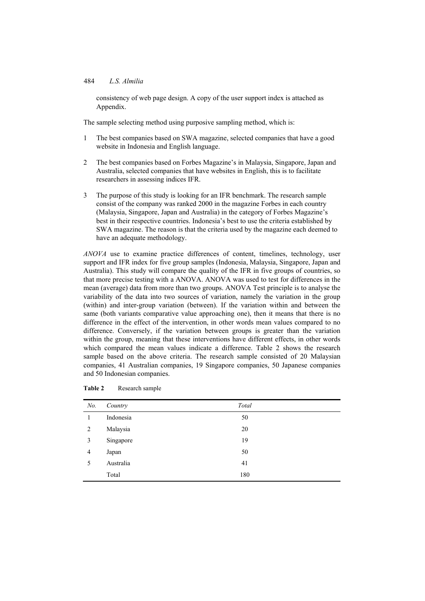consistency of web page design. A copy of the user support index is attached as Appendix.

The sample selecting method using purposive sampling method, which is:

- 1 The best companies based on SWA magazine, selected companies that have a good website in Indonesia and English language.
- 2 The best companies based on Forbes Magazine's in Malaysia, Singapore, Japan and Australia, selected companies that have websites in English, this is to facilitate researchers in assessing indices IFR.
- 3 The purpose of this study is looking for an IFR benchmark. The research sample consist of the company was ranked 2000 in the magazine Forbes in each country (Malaysia, Singapore, Japan and Australia) in the category of Forbes Magazine's best in their respective countries. Indonesia's best to use the criteria established by SWA magazine. The reason is that the criteria used by the magazine each deemed to have an adequate methodology.

*ANOVA* use to examine practice differences of content, timelines, technology, user support and IFR index for five group samples (Indonesia, Malaysia, Singapore, Japan and Australia). This study will compare the quality of the IFR in five groups of countries, so that more precise testing with a ANOVA. ANOVA was used to test for differences in the mean (average) data from more than two groups. ANOVA Test principle is to analyse the variability of the data into two sources of variation, namely the variation in the group (within) and inter-group variation (between). If the variation within and between the same (both variants comparative value approaching one), then it means that there is no difference in the effect of the intervention, in other words mean values compared to no difference. Conversely, if the variation between groups is greater than the variation within the group, meaning that these interventions have different effects, in other words which compared the mean values indicate a difference. Table 2 shows the research sample based on the above criteria. The research sample consisted of 20 Malaysian companies, 41 Australian companies, 19 Singapore companies, 50 Japanese companies and 50 Indonesian companies.

| Table 2 | Research sample |
|---------|-----------------|
|---------|-----------------|

| No.            | Country   | Total |
|----------------|-----------|-------|
| 1              | Indonesia | 50    |
| 2              | Malaysia  | 20    |
| 3              | Singapore | 19    |
| $\overline{4}$ | Japan     | 50    |
| 5              | Australia | 41    |
|                | Total     | 180   |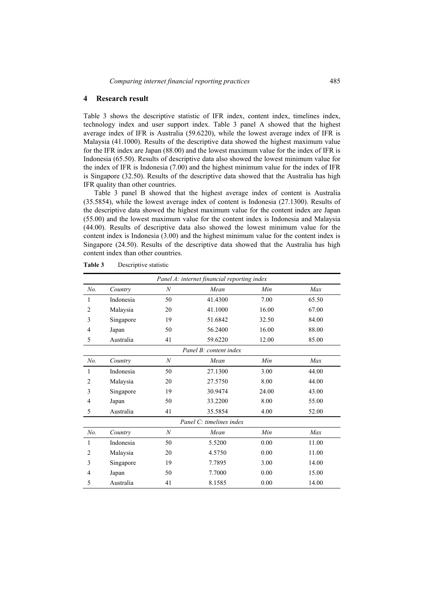## **4 Research result**

Table 3 shows the descriptive statistic of IFR index, content index, timelines index, technology index and user support index. Table 3 panel A showed that the highest average index of IFR is Australia (59.6220), while the lowest average index of IFR is Malaysia (41.1000). Results of the descriptive data showed the highest maximum value for the IFR index are Japan (88.00) and the lowest maximum value for the index of IFR is Indonesia (65.50). Results of descriptive data also showed the lowest minimum value for the index of IFR is Indonesia (7.00) and the highest minimum value for the index of IFR is Singapore (32.50). Results of the descriptive data showed that the Australia has high IFR quality than other countries.

Table 3 panel B showed that the highest average index of content is Australia (35.5854), while the lowest average index of content is Indonesia (27.1300). Results of the descriptive data showed the highest maximum value for the content index are Japan (55.00) and the lowest maximum value for the content index is Indonesia and Malaysia (44.00). Results of descriptive data also showed the lowest minimum value for the content index is Indonesia (3.00) and the highest minimum value for the content index is Singapore (24.50). Results of the descriptive data showed that the Australia has high content index than other countries.

|                        | Panel A: internet financial reporting index |                  |                          |       |       |  |
|------------------------|---------------------------------------------|------------------|--------------------------|-------|-------|--|
| No.                    | Country                                     | N                | Mean                     | Min   | Max   |  |
| 1                      | Indonesia                                   | 50               | 41.4300                  | 7.00  | 65.50 |  |
| $\overline{c}$         | Malaysia                                    | 20               | 41.1000                  | 16.00 | 67.00 |  |
| 3                      | Singapore                                   | 19               | 51.6842                  | 32.50 | 84.00 |  |
| 4                      | Japan                                       | 50               | 56.2400                  | 16.00 | 88.00 |  |
| 5                      | Australia                                   | 41               | 59.6220                  | 12.00 | 85.00 |  |
| Panel B: content index |                                             |                  |                          |       |       |  |
| No.                    | Country                                     | $\boldsymbol{N}$ | Mean                     | Min   | Max   |  |
| 1                      | Indonesia                                   | 50               | 27.1300                  | 3.00  | 44.00 |  |
| 2                      | Malaysia                                    | 20               | 27.5750                  | 8.00  | 44.00 |  |
| 3                      | Singapore                                   | 19               | 30.9474                  | 24.00 | 43.00 |  |
| 4                      | Japan                                       | 50               | 33.2200                  | 8.00  | 55.00 |  |
| 5                      | Australia                                   | 41               | 35.5854                  | 4.00  | 52.00 |  |
|                        |                                             |                  | Panel C: timelines index |       |       |  |
| No.                    | Country                                     | $\boldsymbol{N}$ | Mean                     | Min   | Max   |  |
| 1                      | Indonesia                                   | 50               | 5.5200                   | 0.00  | 11.00 |  |
| 2                      | Malaysia                                    | 20               | 4.5750                   | 0.00  | 11.00 |  |
| 3                      | Singapore                                   | 19               | 7.7895                   | 3.00  | 14.00 |  |
| 4                      | Japan                                       | 50               | 7.7000                   | 0.00  | 15.00 |  |
| 5                      | Australia                                   | 41               | 8.1585                   | 0.00  | 14.00 |  |

**Table 3** Descriptive statistic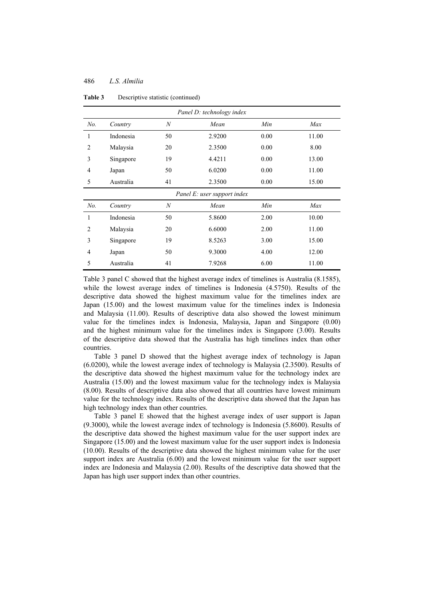|                | Panel D: technology index |                  |                             |      |       |  |
|----------------|---------------------------|------------------|-----------------------------|------|-------|--|
| No.            | Country                   | N                | Mean                        | Min  | Max   |  |
| 1              | Indonesia                 | 50               | 2.9200                      | 0.00 | 11.00 |  |
| $\overline{2}$ | Malaysia                  | 20               | 2.3500                      | 0.00 | 8.00  |  |
| 3              | Singapore                 | 19               | 4.4211                      | 0.00 | 13.00 |  |
| $\overline{4}$ | Japan                     | 50               | 6.0200                      | 0.00 | 11.00 |  |
| 5              | Australia                 | 41               | 2.3500                      | 0.00 | 15.00 |  |
|                |                           |                  | Panel E: user support index |      |       |  |
| No.            | Country                   | $\boldsymbol{N}$ | Mean                        | Min  | Max   |  |
| 1              | Indonesia                 | 50               | 5.8600                      | 2.00 | 10.00 |  |
| $\overline{c}$ | Malaysia                  | 20               | 6.6000                      | 2.00 | 11.00 |  |
| 3              | Singapore                 | 19               | 8.5263                      | 3.00 | 15.00 |  |
| $\overline{4}$ | Japan                     | 50               | 9.3000                      | 4.00 | 12.00 |  |
| 5              | Australia                 | 41               | 7.9268                      | 6.00 | 11.00 |  |

**Table 3** Descriptive statistic (continued)

Table 3 panel C showed that the highest average index of timelines is Australia (8.1585), while the lowest average index of timelines is Indonesia (4.5750). Results of the descriptive data showed the highest maximum value for the timelines index are Japan (15.00) and the lowest maximum value for the timelines index is Indonesia and Malaysia (11.00). Results of descriptive data also showed the lowest minimum value for the timelines index is Indonesia, Malaysia, Japan and Singapore (0.00) and the highest minimum value for the timelines index is Singapore (3.00). Results of the descriptive data showed that the Australia has high timelines index than other countries.

Table 3 panel D showed that the highest average index of technology is Japan (6.0200), while the lowest average index of technology is Malaysia (2.3500). Results of the descriptive data showed the highest maximum value for the technology index are Australia (15.00) and the lowest maximum value for the technology index is Malaysia (8.00). Results of descriptive data also showed that all countries have lowest minimum value for the technology index. Results of the descriptive data showed that the Japan has high technology index than other countries.

Table 3 panel E showed that the highest average index of user support is Japan (9.3000), while the lowest average index of technology is Indonesia (5.8600). Results of the descriptive data showed the highest maximum value for the user support index are Singapore (15.00) and the lowest maximum value for the user support index is Indonesia (10.00). Results of the descriptive data showed the highest minimum value for the user support index are Australia (6.00) and the lowest minimum value for the user support index are Indonesia and Malaysia (2.00). Results of the descriptive data showed that the Japan has high user support index than other countries.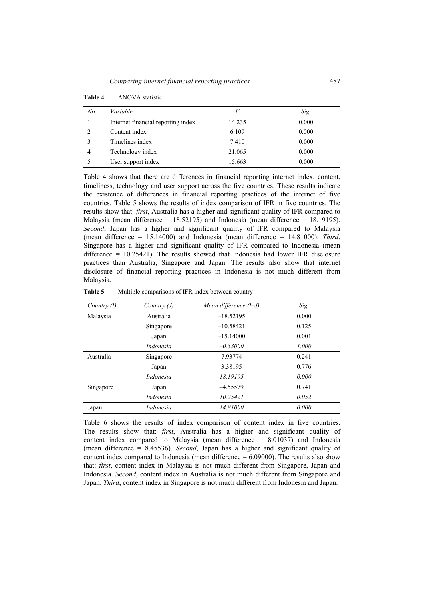| No. | Variable                           | F      | Sig.  |
|-----|------------------------------------|--------|-------|
|     | Internet financial reporting index | 14.235 | 0.000 |
| ∍   | Content index                      | 6.109  | 0.000 |
|     | Timelines index                    | 7.410  | 0.000 |
| 4   | Technology index                   | 21.065 | 0.000 |
|     | User support index                 | 15.663 | 0.000 |

**Table 4** ANOVA statistic

Table 4 shows that there are differences in financial reporting internet index, content, timeliness, technology and user support across the five countries. These results indicate the existence of differences in financial reporting practices of the internet of five countries. Table 5 shows the results of index comparison of IFR in five countries. The results show that: *first*, Australia has a higher and significant quality of IFR compared to Malaysia (mean difference =  $18.52195$ ) and Indonesia (mean difference = 18.19195). *Second*, Japan has a higher and significant quality of IFR compared to Malaysia (mean difference = 15.14000) and Indonesia (mean difference = 14.81000). *Third*, Singapore has a higher and significant quality of IFR compared to Indonesia (mean difference = 10.25421). The results showed that Indonesia had lower IFR disclosure practices than Australia, Singapore and Japan. The results also show that internet disclosure of financial reporting practices in Indonesia is not much different from Malaysia.

**Table 5** Multiple comparisons of IFR index between country

| Country $(I)$ | Country $(J)$ | Mean difference $(I-J)$ | Sig.  |
|---------------|---------------|-------------------------|-------|
| Malaysia      | Australia     | $-18.52195$             | 0.000 |
|               | Singapore     | $-10.58421$             | 0.125 |
|               | Japan         | $-15.14000$             | 0.001 |
|               | Indonesia     | $-0.33000$              | 1.000 |
| Australia     | Singapore     | 7.93774                 | 0.241 |
|               | Japan         | 3.38195                 | 0.776 |
|               | Indonesia     | 18.19195                | 0.000 |
| Singapore     | Japan         | $-4.55579$              | 0.741 |
|               | Indonesia     | 10.25421                | 0.052 |
| Japan         | Indonesia     | 14.81000                | 0.000 |

Table 6 shows the results of index comparison of content index in five countries. The results show that: *first*, Australia has a higher and significant quality of content index compared to Malaysia (mean difference = 8.01037) and Indonesia (mean difference = 8.45536). *Second*, Japan has a higher and significant quality of content index compared to Indonesia (mean difference  $= 6.09000$ ). The results also show that: *first*, content index in Malaysia is not much different from Singapore, Japan and Indonesia. *Second*, content index in Australia is not much different from Singapore and Japan. *Third*, content index in Singapore is not much different from Indonesia and Japan.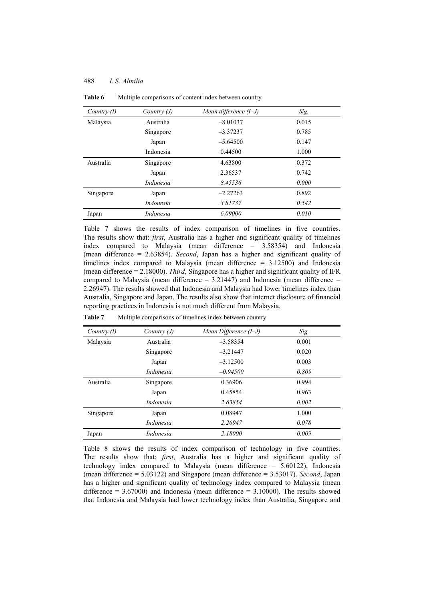| Country (I) | Country $(J)$    | Mean difference $(I-J)$ | Sig.  |  |
|-------------|------------------|-------------------------|-------|--|
| Malaysia    | Australia        | $-8.01037$              | 0.015 |  |
|             | Singapore        | $-3.37237$              | 0.785 |  |
|             | Japan            | $-5.64500$              | 0.147 |  |
|             | Indonesia        | 0.44500                 | 1.000 |  |
| Australia   | Singapore        | 4.63800                 | 0.372 |  |
|             | Japan            | 2.36537                 | 0.742 |  |
|             | <i>Indonesia</i> | 8.45536                 | 0.000 |  |
| Singapore   | Japan            | $-2.27263$              | 0.892 |  |
|             | Indonesia        | 3.81737                 | 0.542 |  |
| Japan       | Indonesia        | 6.09000                 | 0.010 |  |

**Table 6** Multiple comparisons of content index between country

Table 7 shows the results of index comparison of timelines in five countries. The results show that: *first*, Australia has a higher and significant quality of timelines index compared to Malaysia (mean difference = 3.58354) and Indonesia (mean difference = 2.63854). *Second*, Japan has a higher and significant quality of timelines index compared to Malaysia (mean difference = 3.12500) and Indonesia (mean difference = 2.18000). *Third*, Singapore has a higher and significant quality of IFR compared to Malaysia (mean difference  $= 3.21447$ ) and Indonesia (mean difference  $=$ 2.26947). The results showed that Indonesia and Malaysia had lower timelines index than Australia, Singapore and Japan. The results also show that internet disclosure of financial reporting practices in Indonesia is not much different from Malaysia.

**Table 7** Multiple comparisons of timelines index between country

| Country $(I)$ | Country $(J)$ | Mean Difference $(I-J)$ | Sig.  |
|---------------|---------------|-------------------------|-------|
| Malaysia      | Australia     | $-3.58354$              | 0.001 |
|               | Singapore     | $-3.21447$              | 0.020 |
|               | Japan         | $-3.12500$              | 0.003 |
|               | Indonesia     | $-0.94500$              | 0.809 |
| Australia     | Singapore     | 0.36906                 | 0.994 |
|               | Japan         | 0.45854                 | 0.963 |
|               | Indonesia     | 2.63854                 | 0.002 |
| Singapore     | Japan         | 0.08947                 | 1.000 |
|               | Indonesia     | 2.26947                 | 0.078 |
| Japan         | Indonesia     | 2.18000                 | 0.009 |

Table 8 shows the results of index comparison of technology in five countries. The results show that: *first*, Australia has a higher and significant quality of technology index compared to Malaysia (mean difference = 5.60122), Indonesia (mean difference = 5.03122) and Singapore (mean difference = 3.53017). *Second*, Japan has a higher and significant quality of technology index compared to Malaysia (mean difference  $= 3.67000$ ) and Indonesia (mean difference  $= 3.10000$ ). The results showed that Indonesia and Malaysia had lower technology index than Australia, Singapore and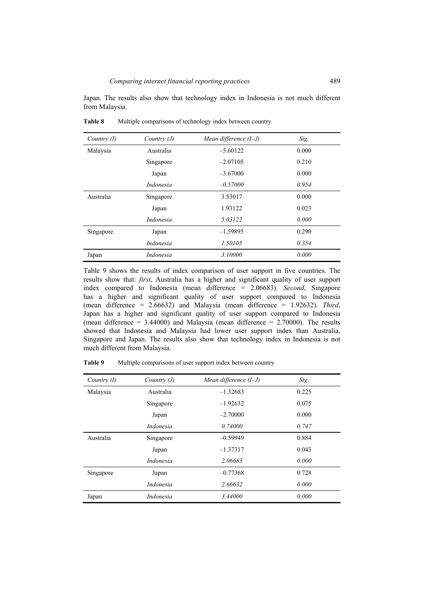Japan. The results also show that technology index in Indonesia is not much different from Malaysia.

| Country $(I)$ | Country $(J)$ | Mean difference $(I-J)$ | Sig.  |
|---------------|---------------|-------------------------|-------|
| Malaysia      | Australia     | $-5.60122$              | 0.000 |
|               | Singapore     | $-2.07105$              | 0.210 |
|               | Japan         | $-3.67000$              | 0.000 |
|               | Indonesia     | $-0.57000$              | 0.954 |
| Australia     | Singapore     | 3.53017                 | 0.000 |
|               | Japan         | 1.93122                 | 0.023 |
|               | Indonesia     | 5.03122                 | 0.000 |
| Singapore     | Japan         | $-1.59895$              | 0.290 |
|               | Indonesia     | 1.50105                 | 0.354 |
| Japan         | Indonesia     | 3.10000                 | 0.000 |

Table 8 Multiple comparisons of technology index between country

Table 9 shows the results of index comparison of user support in five countries. The results show that: *first*, Australia has a higher and significant quality of user support index compared to Indonesia (mean difference = 2.06683). *Second*, Singapore has a higher and significant quality of user support compared to Indonesia (mean difference = 2.66632) and Malaysia (mean difference = 1.92632). *Third*, Japan has a higher and significant quality of user support compared to Indonesia (mean difference =  $3.44000$ ) and Malaysia (mean difference =  $2.70000$ ). The results showed that Indonesia and Malaysia had lower user support index than Australia, Singapore and Japan. The results also show that technology index in Indonesia is not much different from Malaysia.

**Table 9** Multiple comparisons of user support index between country

| Country (I) | Country $(J)$ | Mean difference $(I-J)$ | Sig.  |
|-------------|---------------|-------------------------|-------|
| Malaysia    | Australia     | $-1.32683$              | 0.225 |
|             | Singapore     | $-1.92632$              | 0.075 |
|             | Japan         | $-2.70000$              | 0.000 |
|             | Indonesia     | 0.74000                 | 0.747 |
| Australia   | Singapore     | $-0.59949$              | 0.884 |
|             | Japan         | $-1.37317$              | 0.043 |
|             | Indonesia     | 2.06683                 | 0.000 |
| Singapore   | Japan         | $-0.77368$              | 0.728 |
|             | Indonesia     | 2.66632                 | 0.000 |
| Japan       | Indonesia     | 3.44000                 | 0.000 |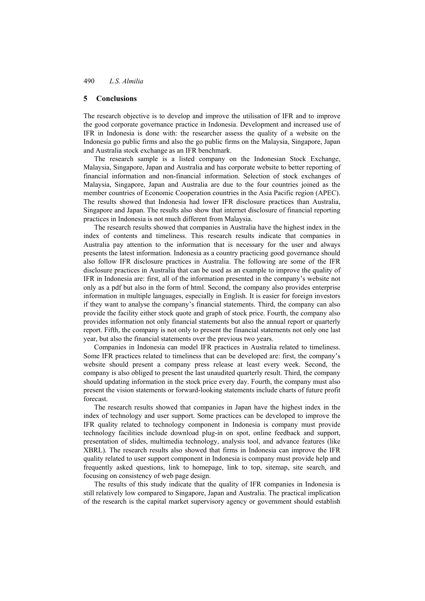#### **5 Conclusions**

The research objective is to develop and improve the utilisation of IFR and to improve the good corporate governance practice in Indonesia. Development and increased use of IFR in Indonesia is done with: the researcher assess the quality of a website on the Indonesia go public firms and also the go public firms on the Malaysia, Singapore, Japan and Australia stock exchange as an IFR benchmark.

The research sample is a listed company on the Indonesian Stock Exchange, Malaysia, Singapore, Japan and Australia and has corporate website to better reporting of financial information and non-financial information. Selection of stock exchanges of Malaysia, Singapore, Japan and Australia are due to the four countries joined as the member countries of Economic Cooperation countries in the Asia Pacific region (APEC). The results showed that Indonesia had lower IFR disclosure practices than Australia, Singapore and Japan. The results also show that internet disclosure of financial reporting practices in Indonesia is not much different from Malaysia.

The research results showed that companies in Australia have the highest index in the index of contents and timeliness. This research results indicate that companies in Australia pay attention to the information that is necessary for the user and always presents the latest information. Indonesia as a country practicing good governance should also follow IFR disclosure practices in Australia. The following are some of the IFR disclosure practices in Australia that can be used as an example to improve the quality of IFR in Indonesia are: first, all of the information presented in the company's website not only as a pdf but also in the form of html. Second, the company also provides enterprise information in multiple languages, especially in English. It is easier for foreign investors if they want to analyse the company's financial statements. Third, the company can also provide the facility either stock quote and graph of stock price. Fourth, the company also provides information not only financial statements but also the annual report or quarterly report. Fifth, the company is not only to present the financial statements not only one last year, but also the financial statements over the previous two years.

Companies in Indonesia can model IFR practices in Australia related to timeliness. Some IFR practices related to timeliness that can be developed are: first, the company's website should present a company press release at least every week. Second, the company is also obliged to present the last unaudited quarterly result. Third, the company should updating information in the stock price every day. Fourth, the company must also present the vision statements or forward-looking statements include charts of future profit forecast.

The research results showed that companies in Japan have the highest index in the index of technology and user support. Some practices can be developed to improve the IFR quality related to technology component in Indonesia is company must provide technology facilities include download plug-in on spot, online feedback and support, presentation of slides, multimedia technology, analysis tool, and advance features (like XBRL). The research results also showed that firms in Indonesia can improve the IFR quality related to user support component in Indonesia is company must provide help and frequently asked questions, link to homepage, link to top, sitemap, site search, and focusing on consistency of web page design.

The results of this study indicate that the quality of IFR companies in Indonesia is still relatively low compared to Singapore, Japan and Australia. The practical implication of the research is the capital market supervisory agency or government should establish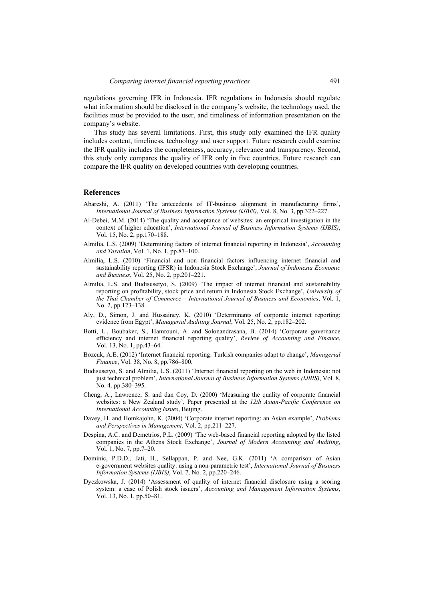regulations governing IFR in Indonesia. IFR regulations in Indonesia should regulate what information should be disclosed in the company's website, the technology used, the facilities must be provided to the user, and timeliness of information presentation on the company's website.

This study has several limitations. First, this study only examined the IFR quality includes content, timeliness, technology and user support. Future research could examine the IFR quality includes the completeness, accuracy, relevance and transparency. Second, this study only compares the quality of IFR only in five countries. Future research can compare the IFR quality on developed countries with developing countries.

#### **References**

- Abareshi, A. (2011) 'The antecedents of IT-business alignment in manufacturing firms', *International Journal of Business Information Systems (IJBIS)*, Vol. 8, No. 3, pp.322–227.
- Al-Debei, M.M. (2014) 'The quality and acceptance of websites: an empirical investigation in the context of higher education', *International Journal of Business Information Systems (IJBIS)*, Vol. 15, No. 2, pp.170–188.
- Almilia, L.S. (2009) 'Determining factors of internet financial reporting in Indonesia', *Accounting and Taxation*, Vol. 1, No. 1, pp.87–100.
- Almilia, L.S. (2010) 'Financial and non financial factors influencing internet financial and sustainability reporting (IFSR) in Indonesia Stock Exchange', *Journal of Indonesia Economic and Business*, Vol. 25, No. 2, pp.201–221.
- Almilia, L.S. and Budisusetyo, S. (2009) 'The impact of internet financial and sustainability reporting on profitability, stock price and return in Indonesia Stock Exchange', *University of the Thai Chamber of Commerce – International Journal of Business and Economics*, Vol. 1, No. 2, pp.123–138.
- Aly, D., Simon, J. and Hussainey, K. (2010) 'Determinants of corporate internet reporting: evidence from Egypt', *Managerial Auditing Journal*, Vol. 25, No. 2, pp.182–202.
- Botti, L., Boubaker, S., Hamrouni, A. and Solonandrasana, B. (2014) 'Corporate governance efficiency and internet financial reporting quality', *Review of Accounting and Finance*, Vol. 13, No. 1, pp.43–64.
- Bozcuk, A.E. (2012) 'Internet financial reporting: Turkish companies adapt to change', *Managerial Finance*, Vol. 38, No. 8, pp.786–800.
- Budisusetyo, S. and Almilia, L.S. (2011) 'Internet financial reporting on the web in Indonesia: not just technical problem', *International Journal of Business Information Systems (IJBIS)*, Vol. 8, No. 4. pp.380–395.
- Cheng, A., Lawrence, S. and dan Coy, D. (2000) 'Measuring the quality of corporate financial websites: a New Zealand study', Paper presented at the *12th Asian-Pacific Conference on International Accounting Issues*, Beijing.
- Davey, H. and Homkajohn, K. (2004) 'Corporate internet reporting: an Asian example', *Problems and Perspectives in Management*, Vol. 2, pp.211–227.
- Despina, A.C. and Demetrios, P.L. (2009) 'The web-based financial reporting adopted by the listed companies in the Athens Stock Exchange', *Journal of Modern Accounting and Auditing*, Vol. 1, No. 7, pp.7–20.
- Dominic, P.D.D., Jati, H., Sellappan, P. and Nee, G.K. (2011) 'A comparison of Asian e-government websites quality: using a non-parametric test', *International Journal of Business Information Systems (IJBIS)*, Vol. 7, No. 2, pp.220–246.
- Dyczkowska, J. (2014) 'Assessment of quality of internet financial disclosure using a scoring system: a case of Polish stock issuers', *Accounting and Management Information Systems*, Vol. 13, No. 1, pp.50–81.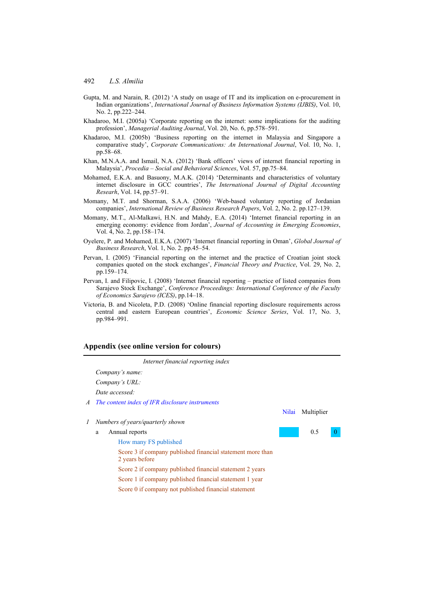- Gupta, M. and Narain, R. (2012) 'A study on usage of IT and its implication on e-procurement in Indian organizations', *International Journal of Business Information Systems (IJBIS)*, Vol. 10, No. 2, pp.222–244.
- Khadaroo, M.I. (2005a) 'Corporate reporting on the internet: some implications for the auditing profession', *Managerial Auditing Journal*, Vol. 20, No. 6, pp.578–591.
- Khadaroo, M.I. (2005b) 'Business reporting on the internet in Malaysia and Singapore a comparative study', *Corporate Communications: An International Journal*, Vol. 10, No. 1, pp.58–68.
- Khan, M.N.A.A. and Ismail, N.A. (2012) 'Bank officers' views of internet financial reporting in Malaysia', *Procedia – Social and Behavioral Sciences*, Vol. 57, pp.75–84.
- Mohamed, E.K.A. and Basuony, M.A.K. (2014) 'Determinants and characteristics of voluntary internet disclosure in GCC countries', *The International Journal of Digital Accounting Researh*, Vol. 14, pp.57–91.
- Momany, M.T. and Shorman, S.A.A. (2006) 'Web-based voluntary reporting of Jordanian companies', *International Review of Business Research Papers*, Vol. 2, No. 2. pp.127–139.
- Momany, M.T., Al-Malkawi, H.N. and Mahdy, E.A. (2014) 'Internet financial reporting in an emerging economy: evidence from Jordan', *Journal of Accounting in Emerging Economies*, Vol. 4, No. 2, pp.158–174.
- Oyelere, P. and Mohamed, E.K.A. (2007) 'Internet financial reporting in Oman', *Global Journal of Business Research*, Vol. 1, No. 2. pp.45–54.
- Pervan, I. (2005) 'Financial reporting on the internet and the practice of Croatian joint stock companies quoted on the stock exchanges', *Financial Theory and Practice*, Vol. 29, No. 2, pp.159–174.
- Pervan, I. and Filipovic, I. (2008) 'Internet financial reporting practice of listed companies from Sarajevo Stock Exchange', *Conference Proceedings: International Conference of the Faculty of Economics Sarajevo (ICES)*, pp.14–18.
- Victoria, B. and Nicoleta, P.D. (2008) 'Online financial reporting disclosure requirements across central and eastern European countries', *Economic Science Series*, Vol. 17, No. 3, pp.984–991.

## **Appendix (see online version for colours)**

*Internet financial reporting index Company's name: Company's URL: Date accessed: A The content index of IFR disclosure instruments*  Nilai Multiplier *1 Numbers of years/quarterly shown*  a Annual reports  $\qquad \qquad 0.5$  How many FS published Score 3 if company published financial statement more than 2 years before Score 2 if company published financial statement 2 years Score 1 if company published financial statement 1 year Score 0 if company not published financial statement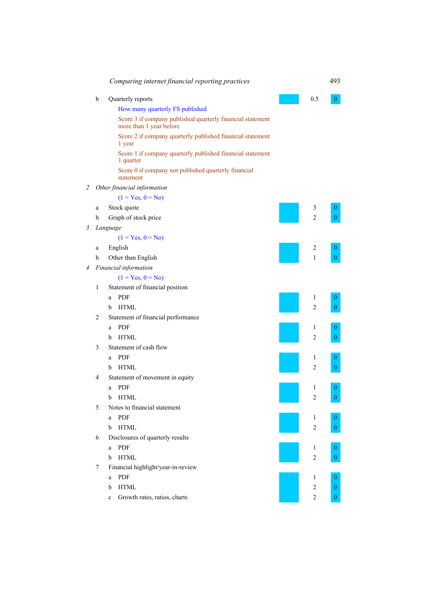|   | Comparing internet financial reporting practices                                      |                         | 493            |
|---|---------------------------------------------------------------------------------------|-------------------------|----------------|
|   | $\mathbf b$<br>Quarterly reports                                                      | 0.5                     | $\overline{0}$ |
|   | How many quarterly FS published                                                       |                         |                |
|   | Score 3 if company published quarterly financial statement<br>more than 1 year before |                         |                |
|   | Score 2 if company quarterly published financial statement<br>1 year                  |                         |                |
|   | Score 1 if company quarterly published financial statement<br>1 quarter               |                         |                |
|   | Score 0 if company not published quarterly financial<br>statement                     |                         |                |
| 2 | Other financial information                                                           |                         |                |
|   | $(1 = Yes, 0 = No)$                                                                   |                         |                |
|   | Stock quote<br>a                                                                      | 3                       |                |
|   | Graph of stock price<br>b                                                             | $\overline{c}$          | 0              |
| 3 | Language                                                                              |                         |                |
|   | $(1 = Yes, 0 = No)$                                                                   |                         |                |
|   | English<br>a                                                                          | 2                       | 0              |
|   | Other than English<br>b                                                               | $\mathbf{1}$            | $\theta$       |
| 4 | Financial information                                                                 |                         |                |
|   | $(1 = Yes, 0 = No)$                                                                   |                         |                |
|   | Statement of financial position<br>1                                                  |                         |                |
|   | PDF<br>a                                                                              | $\mathbf{1}$            | $\bf{0}$       |
|   | <b>HTML</b><br>$\mathbf b$                                                            | $\overline{c}$          | 0              |
|   | Statement of financial performance<br>2                                               |                         |                |
|   | PDF<br>a                                                                              | $\mathbf{1}$            | $\bf{0}$       |
|   | <b>HTML</b><br>b                                                                      | $\overline{2}$          | $\theta$       |
|   | Statement of cash flow<br>3                                                           |                         |                |
|   | PDF<br>a                                                                              | $\mathbf{1}$            | $\bf{0}$       |
|   | <b>HTML</b><br>$\mathbf b$                                                            | $\overline{c}$          | 0              |
|   | Statement of movement in equity<br>4                                                  |                         |                |
|   | PDF<br>a                                                                              | $\mathbf{1}$            | 0              |
|   | <b>HTML</b><br>b                                                                      | $\overline{\mathbf{c}}$ | $\mathbf{0}$   |
|   | Notes to financial statement<br>5                                                     |                         |                |
|   | PDF<br>a                                                                              | $\mathbf{1}$            |                |
|   | <b>HTML</b><br>b                                                                      | $\overline{c}$          | $\theta$       |
|   | Disclosures of quarterly results<br>6                                                 |                         |                |
|   | PDF<br>a                                                                              | $\mathbf{1}$            |                |
|   | <b>HTML</b><br>b                                                                      | $\overline{c}$          | $\overline{0}$ |
|   | Financial highlight/year-in-review<br>7                                               |                         |                |
|   | PDF<br>a                                                                              | 1                       | $\bf{0}$       |
|   | <b>HTML</b><br>b                                                                      | 2                       | $\overline{0}$ |
|   | Growth rates, ratios, charts<br>$\mathbf c$                                           | $\sqrt{2}$              | $\bf{0}$       |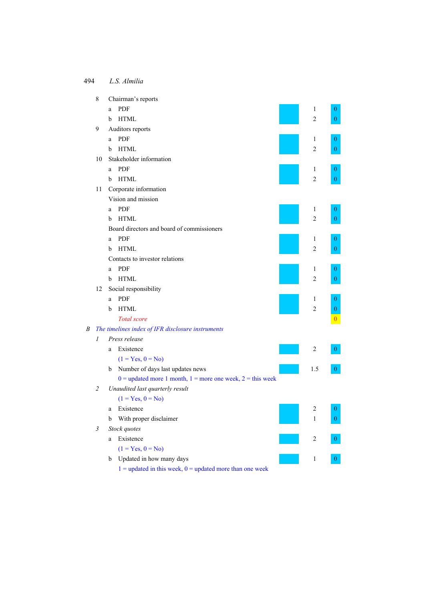|   | 8                                    |                                                   | Chairman's reports                                           |  |                |                |  |  |  |
|---|--------------------------------------|---------------------------------------------------|--------------------------------------------------------------|--|----------------|----------------|--|--|--|
|   |                                      | a                                                 | PDF                                                          |  | 1              | $\bf{0}$       |  |  |  |
|   |                                      | b                                                 | <b>HTML</b>                                                  |  | $\overline{c}$ | $\mathbf{0}$   |  |  |  |
|   | 9                                    |                                                   | Auditors reports                                             |  |                |                |  |  |  |
|   |                                      | a                                                 | <b>PDF</b>                                                   |  | 1              | $\bf{0}$       |  |  |  |
|   |                                      | b                                                 | <b>HTML</b>                                                  |  | $\overline{c}$ | $\overline{0}$ |  |  |  |
|   | 10                                   |                                                   | Stakeholder information                                      |  |                |                |  |  |  |
|   |                                      | a                                                 | PDF                                                          |  | 1              | 0              |  |  |  |
|   |                                      | b                                                 | <b>HTML</b>                                                  |  | $\mathbf{2}$   | $\overline{0}$ |  |  |  |
|   | 11                                   | Corporate information                             |                                                              |  |                |                |  |  |  |
|   |                                      |                                                   | Vision and mission                                           |  |                |                |  |  |  |
|   |                                      | a                                                 | <b>PDF</b>                                                   |  | 1              | 0.             |  |  |  |
|   |                                      | b                                                 | <b>HTML</b>                                                  |  | $\overline{c}$ | $\overline{0}$ |  |  |  |
|   |                                      |                                                   | Board directors and board of commissioners                   |  |                |                |  |  |  |
|   |                                      | a                                                 | <b>PDF</b>                                                   |  | 1              | 0              |  |  |  |
|   |                                      | b                                                 | <b>HTML</b>                                                  |  | $\mathfrak{2}$ | $\overline{0}$ |  |  |  |
|   |                                      |                                                   | Contacts to investor relations                               |  |                |                |  |  |  |
|   |                                      | a                                                 | PDF                                                          |  | 1              | 0              |  |  |  |
|   |                                      | b                                                 | <b>HTML</b>                                                  |  | $\overline{2}$ | $\overline{0}$ |  |  |  |
|   | 12                                   |                                                   | Social responsibility                                        |  |                |                |  |  |  |
|   |                                      | a                                                 | PDF                                                          |  | 1              | 0              |  |  |  |
|   |                                      | b                                                 | <b>HTML</b>                                                  |  | $\overline{2}$ | $\mathbf{0}$   |  |  |  |
|   |                                      |                                                   | Total score                                                  |  |                | $\overline{0}$ |  |  |  |
| Β |                                      | The timelines index of IFR disclosure instruments |                                                              |  |                |                |  |  |  |
|   | $\mathcal{I}$                        |                                                   | Press release                                                |  |                |                |  |  |  |
|   |                                      | a                                                 | Existence                                                    |  | $\overline{2}$ | $\overline{0}$ |  |  |  |
|   |                                      |                                                   | $(1 = Yes, 0 = No)$                                          |  |                |                |  |  |  |
|   |                                      | b                                                 | Number of days last updates news                             |  | 1.5            | $\bf{0}$       |  |  |  |
|   |                                      |                                                   | $0 =$ updated more 1 month, 1 = more one week, 2 = this week |  |                |                |  |  |  |
|   | Unaudited last quarterly result<br>2 |                                                   |                                                              |  |                |                |  |  |  |
|   |                                      |                                                   | $(1 = Yes, 0 = No)$                                          |  |                |                |  |  |  |
|   |                                      | a                                                 | Existence                                                    |  | $\overline{2}$ | $\mathbf{0}$   |  |  |  |
|   |                                      | b                                                 | With proper disclaimer                                       |  | 1              | $\mathbf{0}$   |  |  |  |
|   | $\mathfrak{Z}$                       | Stock quotes                                      |                                                              |  |                |                |  |  |  |
|   |                                      | a                                                 | Existence                                                    |  | $\overline{c}$ | $\theta$       |  |  |  |
|   |                                      |                                                   | $(1 = Yes, 0 = No)$                                          |  |                |                |  |  |  |
|   |                                      | b                                                 | Updated in how many days                                     |  | $\mathbf{1}$   |                |  |  |  |
|   |                                      |                                                   | $1 =$ updated in this week, $0 =$ updated more than one week |  |                |                |  |  |  |